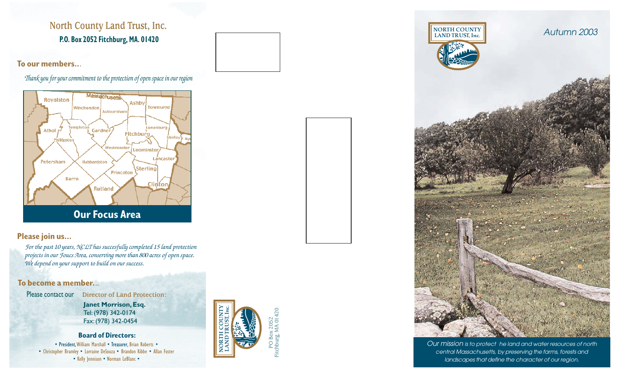# **North County Land Trust, Inc. P.O. Box 2052 Fitchburg, MA. 01420**

**To our members..***.*

*Thank you for your commitment to the protection of open space in our region*



### **Please join us...**

*For the past 10 years, NCLT has succesfully completed 15 land protection projects in our Foucs Area, conserving more than 800 acres of open space. We depend on your support to build on our success.* 

### **To become a member.***..*

**Director of Land Protection:**  Please contact our

> **Janet Morrison,Esq.** Tel:(978) 342-0174 Fax:(978) 342-0454

### **Board of Directors:**

• President, William Marshall • Treasurer, Brian Roberts • • Christopher Bramley • Lorraine DeSouza • Brandon Kibbe • Allan Foster • Kelly Jennison • Norman LeBlanc •

NORTH COUNTY LAND TRUST, Inc.

PO Box 2052<br>Fitchburg, MA 014 Fitchburg, MA 01420



Our mission is to protect he land and water resources of north central Massachusetts, by preserving the farms, forests and landscapes that define the character of our region.